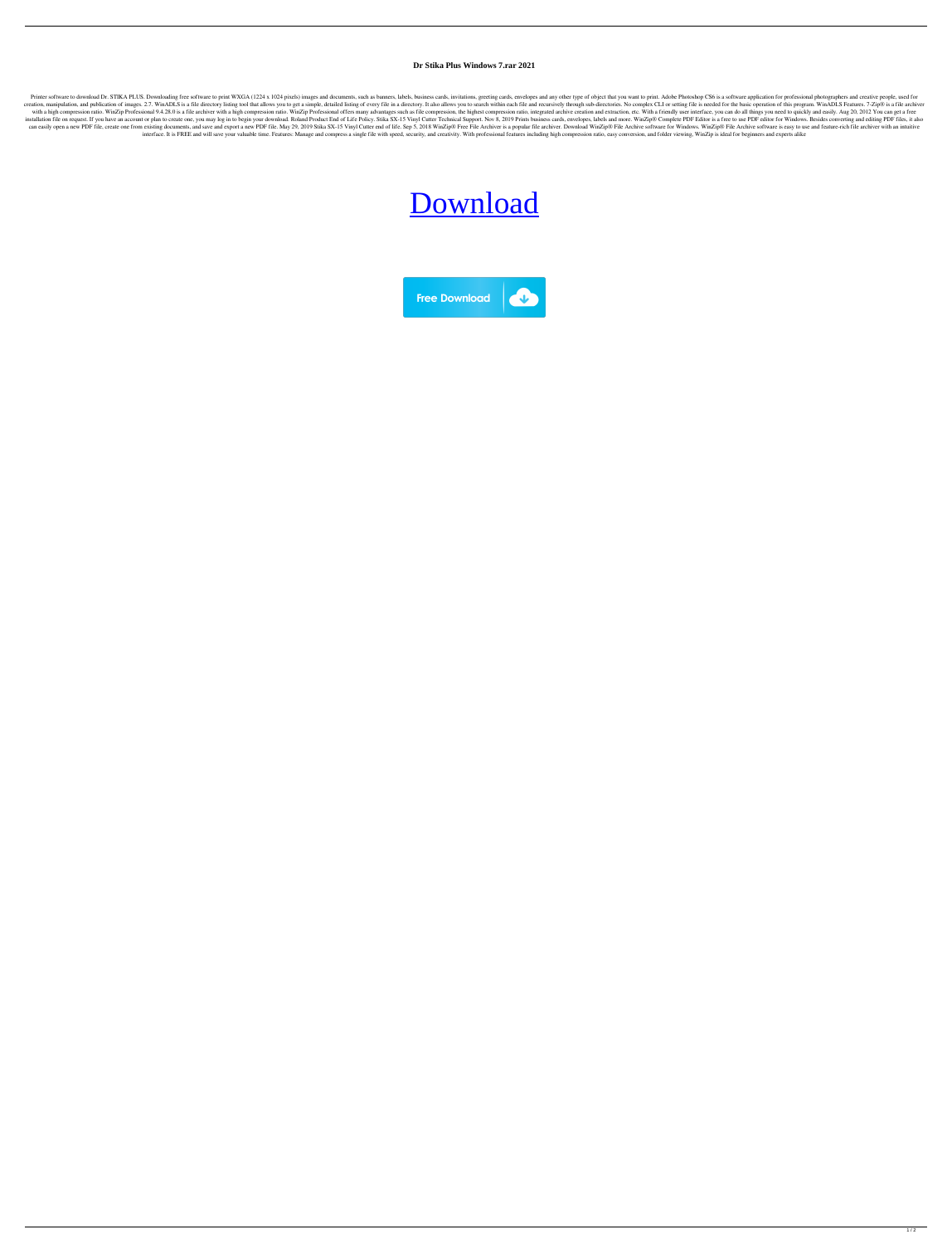## **Dr Stika Plus Windows 7.rar 2021**

Printer software to download Dr. STIKA PLUS. Downloading free software to print WXGA (1224 x 1024 pixels) images and documents, such as banners, labels, business cards, invitations, greeting cards, envelopes and any other creation, manipulation, and publication of images. 2.7. WinADLS is a file directory listing tool that allows you to get a simple, detailed listing of every file in a directory. It also allows you to search within each file with a high compression ratio. WinZip Professional 9.4.28.0 is a file archiver with a high compression ratio. WinZip Professional offers many advantages such as file compression, the highest compression ratio, integrated a installation file on request. If you have an account or plan to create one, you may log in to begin your download. Roland Product End of Life Policy. Stika SX-15 Vinyl Cutter Technical Support. Nov 8, 2019 Prints business can easily open a new PDF file, create one from existing documents, and save and export a new PDF file. May 29, 2019 Stika SX-15 Vinyl Cutter end of life. Sep 5, 2018 WinZip® Fire Archiver. Download WinZip® File Archive so interface. It is FREE and will save your valuable time. Features: Manage and compress a single file with speed, security, and creativity. With professional features including high compression ratio, easy conversion, and fo

## [Download](https://tinurll.com/2l17x5)